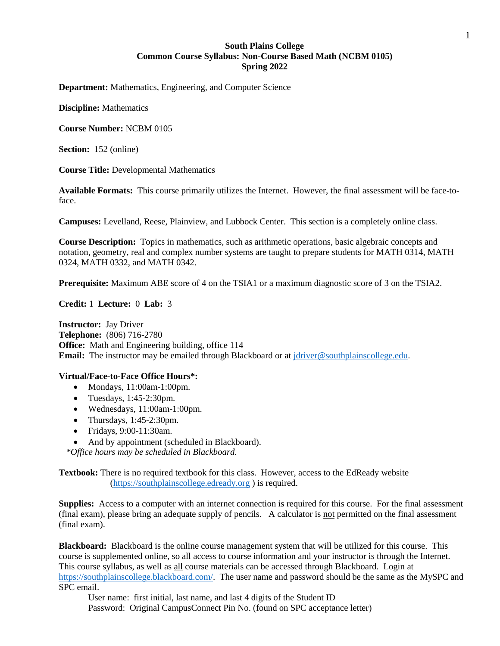### **South Plains College Common Course Syllabus: Non-Course Based Math (NCBM 0105) Spring 2022**

**Department:** Mathematics, Engineering, and Computer Science

**Discipline:** Mathematics

**Course Number:** NCBM 0105

**Section:** 152 (online)

**Course Title:** Developmental Mathematics

**Available Formats:** This course primarily utilizes the Internet. However, the final assessment will be face-toface.

**Campuses:** Levelland, Reese, Plainview, and Lubbock Center. This section is a completely online class.

**Course Description:** Topics in mathematics, such as arithmetic operations, basic algebraic concepts and notation, geometry, real and complex number systems are taught to prepare students for MATH 0314, MATH 0324, MATH 0332, and MATH 0342.

**Prerequisite:** Maximum ABE score of 4 on the TSIA1 or a maximum diagnostic score of 3 on the TSIA2.

**Credit:** 1 **Lecture:** 0 **Lab:** 3

**Instructor:** Jay Driver **Telephone:** (806) 716-2780 **Office:** Math and Engineering building, office 114 **Email:** The instructor may be emailed through Blackboard or at [jdriver@southplainscollege.edu.](mailto:jdriver@southplainscollege.edu)

### **Virtual/Face-to-Face Office Hours\*:**

- Mondays, 11:00am-1:00pm.
- Tuesdays, 1:45-2:30pm.
- Wednesdays, 11:00am-1:00pm.
- Thursdays,  $1:45-2:30$ pm.
- Fridays, 9:00-11:30am.
- And by appointment (scheduled in Blackboard).

*\*Office hours may be scheduled in Blackboard.*

**Textbook:** There is no required textbook for this class. However, access to the EdReady website [\(https://southplainscollege.edready.org](https://southplainscollege.edready.org/) ) is required.

**Supplies:** Access to a computer with an internet connection is required for this course. For the final assessment (final exam), please bring an adequate supply of pencils. A calculator is not permitted on the final assessment (final exam).

**Blackboard:** Blackboard is the online course management system that will be utilized for this course. This course is supplemented online, so all access to course information and your instructor is through the Internet. This course syllabus, as well as all course materials can be accessed through Blackboard. Login at [https://southplainscollege.blackboard.com/.](https://southplainscollege.blackboard.com/) The user name and password should be the same as the MySPC and SPC email.

User name: first initial, last name, and last 4 digits of the Student ID

Password: Original CampusConnect Pin No. (found on SPC acceptance letter)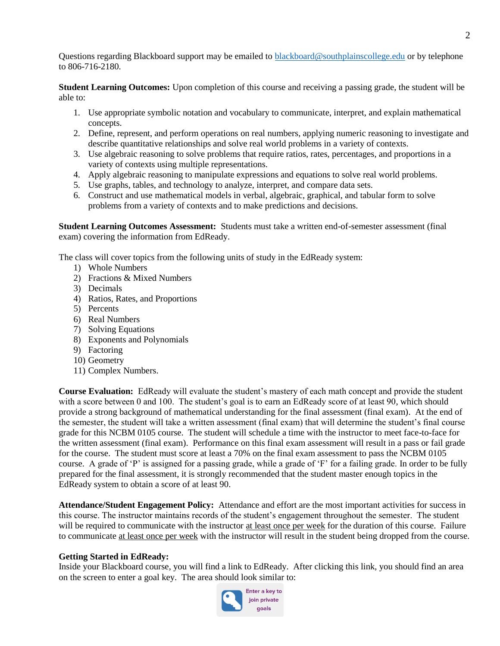Questions regarding Blackboard support may be emailed to [blackboard@southplainscollege.edu](mailto:blackboard@southplainscollege.edu) or by telephone to 806-716-2180.

**Student Learning Outcomes:** Upon completion of this course and receiving a passing grade, the student will be able to:

- 1. Use appropriate symbolic notation and vocabulary to communicate, interpret, and explain mathematical concepts.
- 2. Define, represent, and perform operations on real numbers, applying numeric reasoning to investigate and describe quantitative relationships and solve real world problems in a variety of contexts.
- 3. Use algebraic reasoning to solve problems that require ratios, rates, percentages, and proportions in a variety of contexts using multiple representations.
- 4. Apply algebraic reasoning to manipulate expressions and equations to solve real world problems.
- 5. Use graphs, tables, and technology to analyze, interpret, and compare data sets.
- 6. Construct and use mathematical models in verbal, algebraic, graphical, and tabular form to solve problems from a variety of contexts and to make predictions and decisions.

**Student Learning Outcomes Assessment:** Students must take a written end-of-semester assessment (final exam) covering the information from EdReady.

The class will cover topics from the following units of study in the EdReady system:

- 1) Whole Numbers
- 2) Fractions & Mixed Numbers
- 3) Decimals
- 4) Ratios, Rates, and Proportions
- 5) Percents
- 6) Real Numbers
- 7) Solving Equations
- 8) Exponents and Polynomials
- 9) Factoring
- 10) Geometry
- 11) Complex Numbers.

**Course Evaluation:** EdReady will evaluate the student's mastery of each math concept and provide the student with a score between 0 and 100. The student's goal is to earn an EdReady score of at least 90, which should provide a strong background of mathematical understanding for the final assessment (final exam). At the end of the semester, the student will take a written assessment (final exam) that will determine the student's final course grade for this NCBM 0105 course. The student will schedule a time with the instructor to meet face-to-face for the written assessment (final exam). Performance on this final exam assessment will result in a pass or fail grade for the course. The student must score at least a 70% on the final exam assessment to pass the NCBM 0105 course. A grade of 'P' is assigned for a passing grade, while a grade of 'F' for a failing grade. In order to be fully prepared for the final assessment, it is strongly recommended that the student master enough topics in the EdReady system to obtain a score of at least 90.

**Attendance/Student Engagement Policy:** Attendance and effort are the most important activities for success in this course. The instructor maintains records of the student's engagement throughout the semester. The student will be required to communicate with the instructor at least once per week for the duration of this course. Failure to communicate at least once per week with the instructor will result in the student being dropped from the course.

### **Getting Started in EdReady:**

Inside your Blackboard course, you will find a link to EdReady. After clicking this link, you should find an area on the screen to enter a goal key. The area should look similar to:

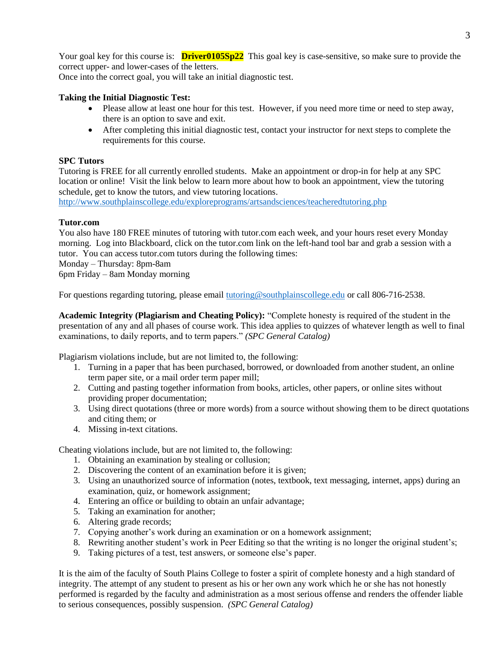Your goal key for this course is: **Driver0105Sp22** This goal key is case-sensitive, so make sure to provide the correct upper- and lower-cases of the letters.

Once into the correct goal, you will take an initial diagnostic test.

# **Taking the Initial Diagnostic Test:**

- Please allow at least one hour for this test. However, if you need more time or need to step away, there is an option to save and exit.
- After completing this initial diagnostic test, contact your instructor for next steps to complete the requirements for this course.

## **SPC Tutors**

Tutoring is FREE for all currently enrolled students. Make an appointment or drop-in for help at any SPC location or online! Visit the link below to learn more about how to book an appointment, view the tutoring schedule, get to know the tutors, and view tutoring locations.

<http://www.southplainscollege.edu/exploreprograms/artsandsciences/teacheredtutoring.php>

## **Tutor.com**

You also have 180 FREE minutes of tutoring with tutor.com each week, and your hours reset every Monday morning. Log into Blackboard, click on the tutor.com link on the left-hand tool bar and grab a session with a tutor. You can access tutor.com tutors during the following times:

Monday – Thursday: 8pm-8am

6pm Friday – 8am Monday morning

For questions regarding tutoring, please email [tutoring@southplainscollege.edu](mailto:tutoring@southplainscollege.edu) or call 806-716-2538.

**Academic Integrity (Plagiarism and Cheating Policy):** "Complete honesty is required of the student in the presentation of any and all phases of course work. This idea applies to quizzes of whatever length as well to final examinations, to daily reports, and to term papers." *(SPC General Catalog)*

Plagiarism violations include, but are not limited to, the following:

- 1. Turning in a paper that has been purchased, borrowed, or downloaded from another student, an online term paper site, or a mail order term paper mill;
- 2. Cutting and pasting together information from books, articles, other papers, or online sites without providing proper documentation;
- 3. Using direct quotations (three or more words) from a source without showing them to be direct quotations and citing them; or
- 4. Missing in-text citations.

Cheating violations include, but are not limited to, the following:

- 1. Obtaining an examination by stealing or collusion;
- 2. Discovering the content of an examination before it is given;
- 3. Using an unauthorized source of information (notes, textbook, text messaging, internet, apps) during an examination, quiz, or homework assignment;
- 4. Entering an office or building to obtain an unfair advantage;
- 5. Taking an examination for another;
- 6. Altering grade records;
- 7. Copying another's work during an examination or on a homework assignment;
- 8. Rewriting another student's work in Peer Editing so that the writing is no longer the original student's;
- 9. Taking pictures of a test, test answers, or someone else's paper.

It is the aim of the faculty of South Plains College to foster a spirit of complete honesty and a high standard of integrity. The attempt of any student to present as his or her own any work which he or she has not honestly performed is regarded by the faculty and administration as a most serious offense and renders the offender liable to serious consequences, possibly suspension. *(SPC General Catalog)*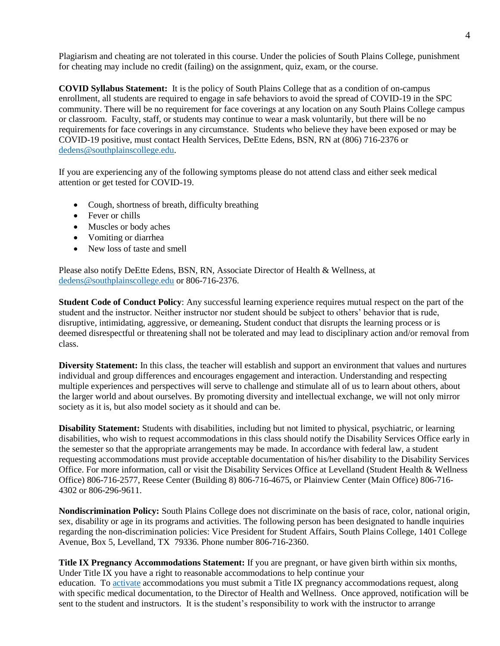Plagiarism and cheating are not tolerated in this course. Under the policies of South Plains College, punishment for cheating may include no credit (failing) on the assignment, quiz, exam, or the course.

**COVID Syllabus Statement:** It is the policy of South Plains College that as a condition of on-campus enrollment, all students are required to engage in safe behaviors to avoid the spread of COVID-19 in the SPC community. There will be no requirement for face coverings at any location on any South Plains College campus or classroom. Faculty, staff, or students may continue to wear a mask voluntarily, but there will be no requirements for face coverings in any circumstance. Students who believe they have been exposed or may be COVID-19 positive, must contact Health Services, DeEtte Edens, BSN, RN at (806) 716-2376 or [dedens@southplainscollege.edu.](mailto:dedens@southplainscollege.edu)

If you are experiencing any of the following symptoms please do not attend class and either seek medical attention or get tested for COVID-19.

- Cough, shortness of breath, difficulty breathing
- Fever or chills
- Muscles or body aches
- Vomiting or diarrhea
- New loss of taste and smell

Please also notify DeEtte Edens, BSN, RN, Associate Director of Health & Wellness, at [dedens@southplainscollege.edu](mailto:dedens@southplainscollege.edu) or 806-716-2376.

**Student Code of Conduct Policy**: Any successful learning experience requires mutual respect on the part of the student and the instructor. Neither instructor nor student should be subject to others' behavior that is rude, disruptive, intimidating, aggressive, or demeaning**.** Student conduct that disrupts the learning process or is deemed disrespectful or threatening shall not be tolerated and may lead to disciplinary action and/or removal from class.

**Diversity Statement:** In this class, the teacher will establish and support an environment that values and nurtures individual and group differences and encourages engagement and interaction. Understanding and respecting multiple experiences and perspectives will serve to challenge and stimulate all of us to learn about others, about the larger world and about ourselves. By promoting diversity and intellectual exchange, we will not only mirror society as it is, but also model society as it should and can be.

**Disability Statement:** Students with disabilities, including but not limited to physical, psychiatric, or learning disabilities, who wish to request accommodations in this class should notify the Disability Services Office early in the semester so that the appropriate arrangements may be made. In accordance with federal law, a student requesting accommodations must provide acceptable documentation of his/her disability to the Disability Services Office. For more information, call or visit the Disability Services Office at Levelland (Student Health & Wellness Office) 806-716-2577, Reese Center (Building 8) 806-716-4675, or Plainview Center (Main Office) 806-716- 4302 or 806-296-9611.

**Nondiscrimination Policy:** South Plains College does not discriminate on the basis of race, color, national origin, sex, disability or age in its programs and activities. The following person has been designated to handle inquiries regarding the non-discrimination policies: Vice President for Student Affairs, South Plains College, 1401 College Avenue, Box 5, Levelland, TX 79336. Phone number 806-716-2360.

**Title IX Pregnancy Accommodations Statement:** If you are pregnant, or have given birth within six months, Under Title IX you have a right to reasonable accommodations to help continue your education. To [activate](http://www.southplainscollege.edu/employees/manualshandbooks/facultyhandbook/sec4.php) accommodations you must submit a Title IX pregnancy accommodations request, along with specific medical documentation, to the Director of Health and Wellness. Once approved, notification will be sent to the student and instructors. It is the student's responsibility to work with the instructor to arrange